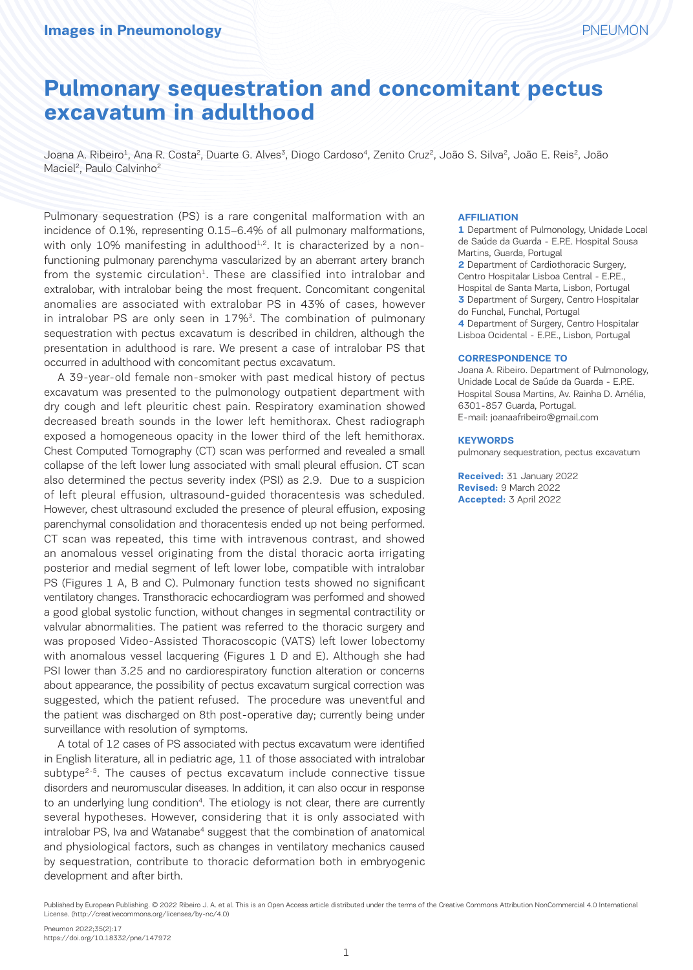Joana A. Ribeiro<sup>1</sup>, Ana R. Costa<sup>2</sup>, Duarte G. Alves<sup>3</sup>, Diogo Cardoso<sup>4</sup>, Zenito Cruz<sup>2</sup>, João S. Silva<sup>2</sup>, João E. Reis<sup>2</sup>, João Maciel<sup>2</sup>, Paulo Calvinho<sup>2</sup>

Pulmonary sequestration (PS) is a rare congenital malformation with an incidence of 0.1%, representing 0.15–6.4% of all pulmonary malformations, with only 10% manifesting in adulthood<sup>1,2</sup>. It is characterized by a nonfunctioning pulmonary parenchyma vascularized by an aberrant artery branch from the systemic circulation<sup>1</sup>. These are classified into intralobar and extralobar, with intralobar being the most frequent. Concomitant congenital anomalies are associated with extralobar PS in 43% of cases, however in intralobar PS are only seen in  $17\%$ <sup>3</sup>. The combination of pulmonary sequestration with pectus excavatum is described in children, although the presentation in adulthood is rare. We present a case of intralobar PS that occurred in adulthood with concomitant pectus excavatum.

A 39-year-old female non-smoker with past medical history of pectus excavatum was presented to the pulmonology outpatient department with dry cough and left pleuritic chest pain. Respiratory examination showed decreased breath sounds in the lower left hemithorax. Chest radiograph exposed a homogeneous opacity in the lower third of the left hemithorax. Chest Computed Tomography (CT) scan was performed and revealed a small collapse of the left lower lung associated with small pleural effusion. CT scan also determined the pectus severity index (PSI) as 2.9. Due to a suspicion of left pleural effusion, ultrasound-guided thoracentesis was scheduled. However, chest ultrasound excluded the presence of pleural effusion, exposing parenchymal consolidation and thoracentesis ended up not being performed. CT scan was repeated, this time with intravenous contrast, and showed an anomalous vessel originating from the distal thoracic aorta irrigating posterior and medial segment of left lower lobe, compatible with intralobar PS (Figures 1 A, B and C). Pulmonary function tests showed no significant ventilatory changes. Transthoracic echocardiogram was performed and showed a good global systolic function, without changes in segmental contractility or valvular abnormalities. The patient was referred to the thoracic surgery and was proposed Video-Assisted Thoracoscopic (VATS) left lower lobectomy with anomalous vessel lacquering (Figures 1 D and E). Although she had PSI lower than 3.25 and no cardiorespiratory function alteration or concerns about appearance, the possibility of pectus excavatum surgical correction was suggested, which the patient refused. The procedure was uneventful and the patient was discharged on 8th post-operative day; currently being under surveillance with resolution of symptoms.

A total of 12 cases of PS associated with pectus excavatum were identified in English literature, all in pediatric age, 11 of those associated with intralobar  $subtype<sup>2-5</sup>$ . The causes of pectus excavatum include connective tissue disorders and neuromuscular diseases. In addition, it can also occur in response to an underlying lung condition<sup>4</sup>. The etiology is not clear, there are currently several hypotheses. However, considering that it is only associated with intralobar PS, Iva and Watanabe<sup>4</sup> suggest that the combination of anatomical and physiological factors, such as changes in ventilatory mechanics caused by sequestration, contribute to thoracic deformation both in embryogenic development and after birth.

#### **AFFILIATION**

**1** Department of Pulmonology, Unidade Local de Saúde da Guarda - E.P.E. Hospital Sousa Martins, Guarda, Portugal **2** Department of Cardiothoracic Surgery, Centro Hospitalar Lisboa Central - E.P.E., Hospital de Santa Marta, Lisbon, Portugal **3** Department of Surgery, Centro Hospitalar do Funchal, Funchal, Portugal **4** Department of Surgery, Centro Hospitalar Lisboa Ocidental - E.P.E., Lisbon, Portugal

#### **CORRESPONDENCE TO**

Joana A. Ribeiro. Department of Pulmonology, Unidade Local de Saúde da Guarda - E.P.E. Hospital Sousa Martins, Av. Rainha D. Amélia, 6301-857 Guarda, Portugal. E-mail: joanaafribeiro@gmail.com

#### **KEYWORDS**

pulmonary sequestration, pectus excavatum

**Received:** 31 January 2022 **Revised:** 9 March 2022 **Accepted:** 3 April 2022

Published by European Publishing. © 2022 Ribeiro J. A. et al. This is an Open Access article distributed under the terms of the Creative Commons Attribution NonCommercial 4.0 International License. (http://creativecommons.org/licenses/by-nc/4.0)